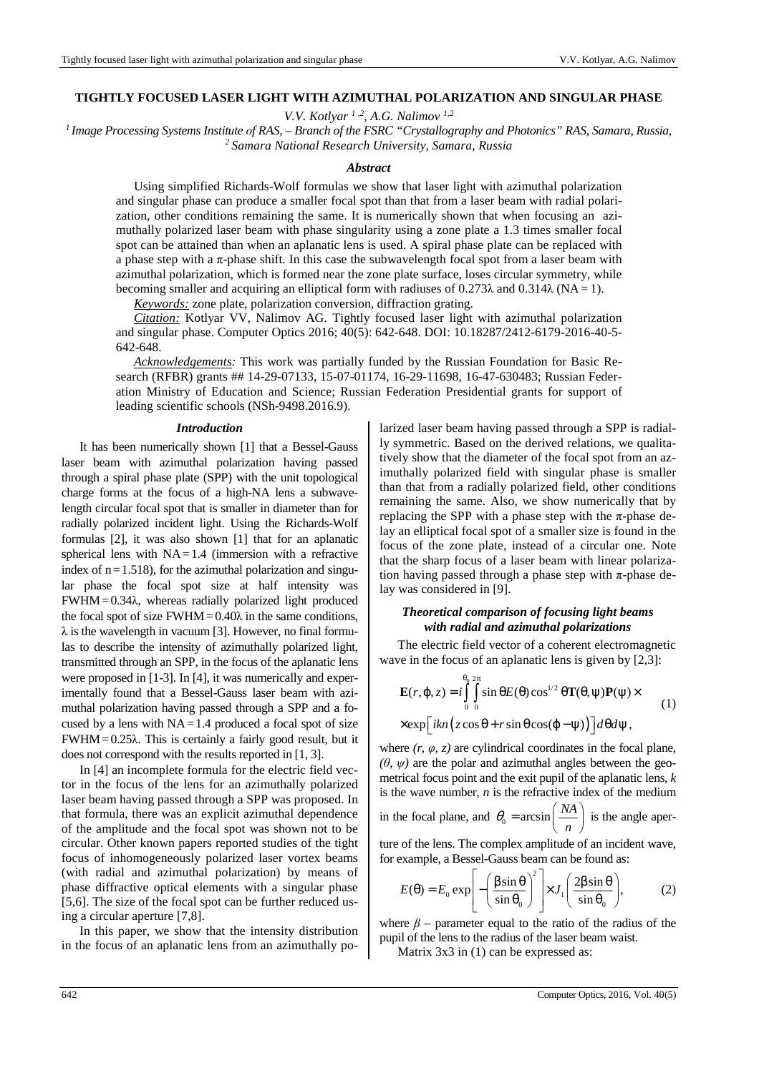## **TIGHTLY FOCUSED LASER LIGHT WITH AZIMUTHAL POLARIZATION AND SINGULAR PHASE**

*V.V. Kotlyar 1 ,2, A.G. Nalimov 1,2*

*<sup>1</sup>Image Processing Systems Institute оf RAS, – Branch of the FSRC "Crystallography and Photonics" RAS, Samara, Russia, <sup>2</sup>Samara National Research University, Samara, Russia*

#### *Abstract*

Using simplified Richards-Wolf formulas we show that laser light with azimuthal polarization and singular phase can produce a smaller focal spot than that from a laser beam with radial polarization, other conditions remaining the same. It is numerically shown that when focusing an azimuthally polarized laser beam with phase singularity using a zone plate a 1.3 times smaller focal spot can be attained than when an aplanatic lens is used. A spiral phase plate can be replaced with a phase step with a π-phase shift. In this case the subwavelength focal spot from a laser beam with azimuthal polarization, which is formed near the zone plate surface, loses circular symmetry, while becoming smaller and acquiring an elliptical form with radiuses of 0.273 $\lambda$  and 0.314 $\lambda$  (NA = 1).

*Keywords:* zone plate, polarization conversion, diffraction grating.

*Citation:* Kotlyar VV, Nalimov AG. Tightly focused laser light with azimuthal polarization and singular phase. Computer Optics 2016; 40(5): 642-648. DOI: 10.18287/2412-6179-2016-40-5- 642-648.

*Acknowledgements:* This work was partially funded by the Russian Foundation for Basic Research (RFBR) grants ## 14-29-07133, 15-07-01174, 16-29-11698, 16-47-630483; Russian Federation Ministry of Education and Science; Russian Federation Presidential grants for support of leading scientific schools (NSh-9498.2016.9).

#### *Introduction*

It has been numerically shown [1] that a Bessel-Gauss laser beam with azimuthal polarization having passed through a spiral phase plate (SPP) with the unit topological charge forms at the focus of a high-NA lens a subwavelength circular focal spot that is smaller in diameter than for radially polarized incident light. Using the Richards-Wolf formulas [2], it was also shown [1] that for an aplanatic spherical lens with  $NA = 1.4$  (immersion with a refractive index of  $n = 1.518$ ), for the azimuthal polarization and singular phase the focal spot size at half intensity was  $FWHM = 0.34\lambda$ , whereas radially polarized light produced the focal spot of size  $FWHM = 0.40\lambda$  in the same conditions,  $\lambda$  is the wavelength in vacuum [3]. However, no final formulas to describe the intensity of azimuthally polarized light, transmitted through an SPP, in the focus of the aplanatic lens were proposed in [1-3]. In [4], it was numerically and experimentally found that a Bessel-Gauss laser beam with azimuthal polarization having passed through a SPP and a focused by a lens with  $NA = 1.4$  produced a focal spot of size  $FWHM = 0.25\lambda$ . This is certainly a fairly good result, but it does not correspond with the results reported in [1, 3].

In [4] an incomplete formula for the electric field vector in the focus of the lens for an azimuthally polarized laser beam having passed through a SPP was proposed. In that formula, there was an explicit azimuthal dependence of the amplitude and the focal spot was shown not to be circular. Other known papers reported studies of the tight focus of inhomogeneously polarized laser vortex beams (with radial and azimuthal polarization) by means of phase diffractive optical elements with a singular phase [5,6]. The size of the focal spot can be further reduced using a circular aperture [7,8].

In this paper, we show that the intensity distribution in the focus of an aplanatic lens from an azimuthally polarized laser beam having passed through a SPP is radially symmetric. Based on the derived relations, we qualitatively show that the diameter of the focal spot from an azimuthally polarized field with singular phase is smaller than that from a radially polarized field, other conditions remaining the same. Also, we show numerically that by replacing the SPP with a phase step with the π-phase delay an elliptical focal spot of a smaller size is found in the focus of the zone plate, instead of a circular one. Note that the sharp focus of a laser beam with linear polarization having passed through a phase step with  $\pi$ -phase delay was considered in [9].

# *Theoretical comparison of focusing light beams with radial and azimuthal polarizations*

The electric field vector of a coherent electromagnetic wave in the focus of an aplanatic lens is given by [2,3]:

$$
\mathbf{E}(r, \varphi, z) = i \int_{0}^{\theta_0} \int_{0}^{2\pi} \sin \theta E(\theta) \cos^{1/2} \theta \mathbf{T}(\theta, \psi) \mathbf{P}(\psi) \times
$$
  
×
$$
\exp\left[ikn\left(z\cos\theta + r\sin\theta\cos(\phi - \psi)\right)\right] d\theta d\psi,
$$
 (1)

where  $(r, \varphi, z)$  are cylindrical coordinates in the focal plane,  $(\theta, \psi)$  are the polar and azimuthal angles between the geometrical focus point and the exit pupil of the aplanatic lens, *k* is the wave number, *n* is the refractive index of the medium

in the focal plane, and 
$$
\theta_0 = \arcsin\left(\frac{NA}{n}\right)
$$
 is the angle aper-

ture of the lens. The complex amplitude of an incident wave, for example, a Bessel-Gauss beam can be found as:

$$
E(\theta) = E_0 \exp\left[-\left(\frac{\beta \sin \theta}{\sin \theta_0}\right)^2\right] \times J_1\left(\frac{2\beta \sin \theta}{\sin \theta_0}\right),\tag{2}
$$

where  $\beta$  – parameter equal to the ratio of the radius of the pupil of the lens to the radius of the laser beam waist.

Matrix 3x3 in (1) can be expressed as: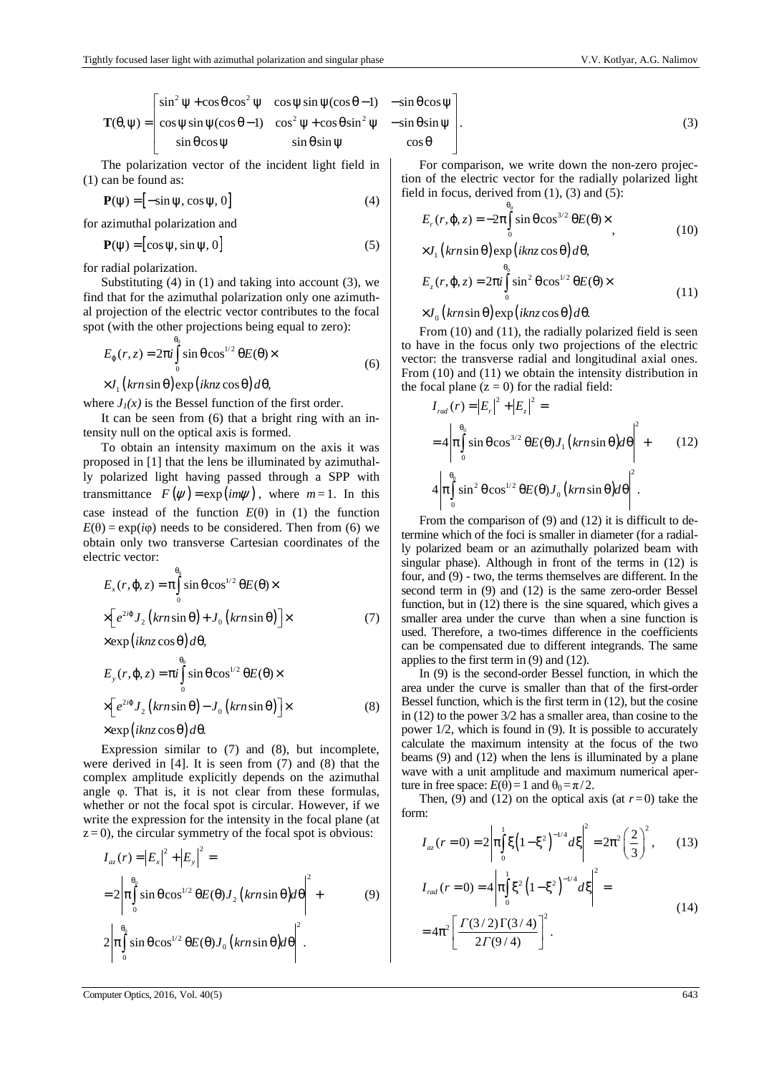$$
\mathbf{T}(\theta,\psi) = \begin{bmatrix} \sin^2 \psi + \cos \theta \cos^2 \psi & \cos \psi \sin \psi (\cos \theta - 1) & -\sin \theta \cos \psi \\ \cos \psi \sin \psi (\cos \theta - 1) & \cos^2 \psi + \cos \theta \sin^2 \psi & -\sin \theta \sin \psi \\ \sin \theta \cos \psi & \sin \theta \sin \psi & \cos \theta \end{bmatrix}.
$$
 (3)

The polarization vector of the incident light field in (1) can be found as:

$$
\mathbf{P}(\psi) = [-\sin \psi, \cos \psi, 0] \tag{4}
$$

for azimuthal polarization and

$$
\mathbf{P}(\psi) = [\cos \psi, \sin \psi, 0] \tag{5}
$$

for radial polarization.

Substituting  $(4)$  in  $(1)$  and taking into account  $(3)$ , we find that for the azimuthal polarization only one azimuthal projection of the electric vector contributes to the focal spot (with the other projections being equal to zero):

$$
E_{\varphi}(r, z) = 2\pi i \int_{0}^{\theta_{0}} \sin \theta \cos^{1/2} \theta E(\theta) \times
$$
  
×*J*<sub>1</sub>(*krn* sin θ) exp(*iknz* cos θ)*d*θ, (6)

where  $J_1(x)$  is the Bessel function of the first order.

It can be seen from (6) that a bright ring with an intensity null on the optical axis is formed.

To obtain an intensity maximum on the axis it was proposed in [1] that the lens be illuminated by azimuthally polarized light having passed through a SPP with transmittance  $F(\psi) = \exp(im\psi)$ , where  $m = 1$ . In this case instead of the function  $E(\theta)$  in (1) the function  $E(\theta) = \exp(i\varphi)$  needs to be considered. Then from (6) we obtain only two transverse Cartesian coordinates of the electric vector:

$$
E_x(r, \varphi, z) = \pi \int_0^{\theta_0} \sin \theta \cos^{1/2} \theta E(\theta) \times
$$
  
 
$$
\times \left[ e^{2i\varphi} J_2 \left( k r n \sin \theta \right) + J_0 \left( k r n \sin \theta \right) \right] \times
$$
  
 
$$
\times \exp\left( i k n z \cos \theta \right) d\theta,
$$
 (7)

$$
E_{y}(r, \varphi, z) = \pi i \int_{0}^{\theta_{0}} \sin \theta \cos^{1/2} \theta E(\theta) \times
$$
  
 
$$
\times \left[ e^{2i\varphi} J_{2} \left( k r n \sin \theta \right) - J_{0} \left( k r n \sin \theta \right) \right] \times
$$
 (8)

$$
\times \exp\left(iknz\cos\theta\right)d\theta.
$$

Expression similar to (7) and (8), but incomplete, were derived in [4]. It is seen from (7) and (8) that the complex amplitude explicitly depends on the azimuthal angle φ. That is, it is not clear from these formulas, whether or not the focal spot is circular. However, if we write the expression for the intensity in the focal plane (at  $z = 0$ ), the circular symmetry of the focal spot is obvious:

$$
I_{az}(r) = |E_x|^2 + |E_y|^2 =
$$
  
=  $2 \left| \pi \int_0^{\theta_0} \sin \theta \cos^{1/2} \theta E(\theta) J_2 \left( k r n \sin \theta \right) d\theta \right|^2 +$  (9)  
 $2 \left| \pi \int_0^{\theta_0} \sin \theta \cos^{1/2} \theta E(\theta) J_0 \left( k r n \sin \theta \right) d\theta \right|^2.$ 

$$
\sin \theta \sin \psi
$$
 (3)  

$$
\cos \theta
$$

For comparison, we write down the non-zero projection of the electric vector for the radially polarized light field in focus, derived from  $(1)$ ,  $(3)$  and  $(5)$ :

$$
E_r(r, \varphi, z) = -2\pi \int_0^{\theta_0} \sin \theta \cos^{3/2} \theta E(\theta) \times
$$
  
×*J*<sub>1</sub>(*krn*sin \theta) exp(*iknz* cos \theta) *d*θ, (10)

$$
E_z(r, \varphi, z) = 2\pi i \int_0^{\theta_0} \sin^2 \theta \cos^{1/2} \theta E(\theta) \times
$$
 (11)

 $\times J_{0}$  (krn sin  $\theta$ )  $\exp\left(iknz\cos\theta\right)d\theta$ .

From (10) and (11), the radially polarized field is seen to have in the focus only two projections of the electric vector: the transverse radial and longitudinal axial ones. From (10) and (11) we obtain the intensity distribution in the focal plane  $(z = 0)$  for the radial field:

$$
I_{rad}(r) = |E_r|^2 + |E_z|^2 =
$$
  
=  $4 \left| \pi \int_0^{\theta_0} \sin \theta \cos^{3/2} \theta E(\theta) J_1(km \sin \theta) d\theta \right|^2 +$  (12)  
 $4 \left| \pi \int_0^{\theta_0} \sin^2 \theta \cos^{1/2} \theta E(\theta) J_0(km \sin \theta) d\theta \right|^2.$ 

From the comparison of (9) and (12) it is difficult to determine which of the foci is smaller in diameter (for a radially polarized beam or an azimuthally polarized beam with singular phase). Although in front of the terms in (12) is four, and (9) - two, the terms themselves are different. In the second term in (9) and (12) is the same zero-order Bessel function, but in (12) there is the sine squared, which gives a smaller area under the curve than when a sine function is used. Therefore, a two-times difference in the coefficients can be compensated due to different integrands. The same applies to the first term in (9) and (12).

In (9) is the second-order Bessel function, in which the area under the curve is smaller than that of the first-order Bessel function, which is the first term in (12), but the cosine in (12) to the power 3/2 has a smaller area, than cosine to the power 1/2, which is found in (9). It is possible to accurately calculate the maximum intensity at the focus of the two beams (9) and (12) when the lens is illuminated by a plane wave with a unit amplitude and maximum numerical aperture in free space:  $E(\theta) = 1$  and  $\theta_0 = \pi/2$ .

Then, (9) and (12) on the optical axis (at  $r=0$ ) take the form:

$$
I_{az}(r=0) = 2\left|\pi \int_0^1 \xi \left(1 - \xi^2\right)^{-1/4} d\xi\right|^2 = 2\pi^2 \left(\frac{2}{3}\right)^2, \qquad (13)
$$

$$
I_{rad}(r=0) = 4 \left| \pi \int_{0}^{1} \xi^{2} \left( 1 - \xi^{2} \right)^{-1/4} d\xi \right|^{2} =
$$
  
=  $4\pi^{2} \left[ \frac{\Gamma(3/2) \Gamma(3/4)}{2\Gamma(9/4)} \right]^{2}$ . (14)

Computer Optics, 2016, Vol. 40(5) 643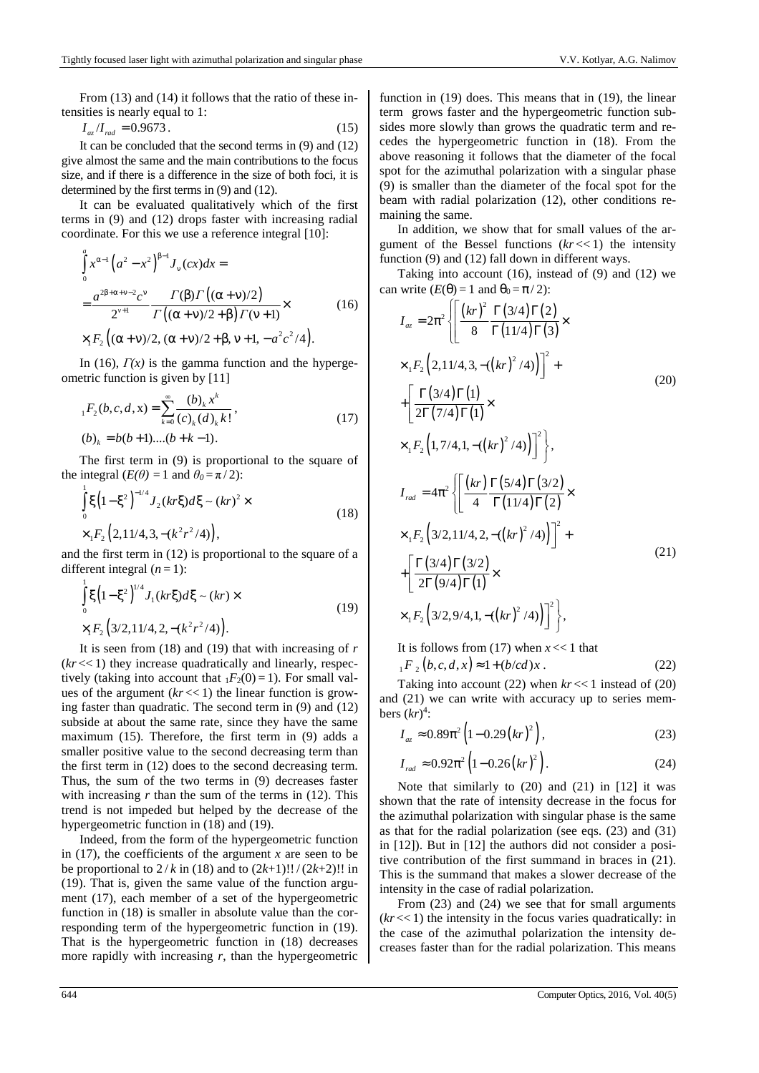From (13) and (14) it follows that the ratio of these intensities is nearly equal to 1:

$$
I_{az}/I_{rad} = 0.9673. \tag{15}
$$

It can be concluded that the second terms in (9) and (12) give almost the same and the main contributions to the focus size, and if there is a difference in the size of both foci, it is determined by the first terms in (9) and (12).

It can be evaluated qualitatively which of the first terms in (9) and (12) drops faster with increasing radial coordinate. For this we use a reference integral [10]:

$$
\int_{0}^{a} x^{\alpha-1} (a^{2} - x^{2})^{\beta-1} J_{\nu}(cx) dx =
$$
\n
$$
= \frac{a^{2\beta+\alpha+\nu-2} c^{\nu}}{2^{\nu+1}} \frac{\Gamma(\beta)\Gamma((\alpha+\nu)/2)}{\Gamma((\alpha+\nu)/2+\beta)\Gamma(\nu+1)} \times
$$
\n
$$
\times_{1} F_{2} ((\alpha+\nu)/2, (\alpha+\nu)/2+\beta, \nu+1, -a^{2}c^{2}/4).
$$
\n(16)

In (16),  $\Gamma(x)$  is the gamma function and the hypergeometric function is given by [11]

$$
{}_{1}F_{2}(b,c,d,x) = \sum_{k=0}^{\infty} \frac{(b)_{k} x^{k}}{(c)_{k} (d)_{k} k!},
$$
  
(b)<sub>k</sub> = b(b+1)...(b+k-1). (17)

The first term in (9) is proportional to the square of the integral  $(E(\theta)) = 1$  and  $\theta_0 = \pi/2$ :

$$
\int_{0}^{1} \xi \left(1 - \xi^{2}\right)^{-1/4} J_{2}(kr\xi) d\xi \sim (kr)^{2} \times \times {}_{1}F_{2} \left(2, 11/4, 3, -(k^{2}r^{2}/4)\right),
$$
\n(18)

and the first term in (12) is proportional to the square of a different integral  $(n=1)$ :

$$
\int_{0}^{1} \xi \left(1 - \xi^{2}\right)^{1/4} J_{1}(kr\xi) d\xi \sim (kr) \times
$$
\n
$$
\times_{1} F_{2} \left(3/2, 11/4, 2, -(k^{2}r^{2}/4)\right).
$$
\n(19)

It is seen from (18) and (19) that with increasing of *r*  $(kr \ll 1)$  they increase quadratically and linearly, respectively (taking into account that  $_1F_2(0) = 1$ ). For small values of the argument  $(kr \ll 1)$  the linear function is growing faster than quadratic. The second term in (9) and (12) subside at about the same rate, since they have the same maximum (15). Therefore, the first term in (9) adds a smaller positive value to the second decreasing term than the first term in (12) does to the second decreasing term. Thus, the sum of the two terms in (9) decreases faster with increasing  $r$  than the sum of the terms in  $(12)$ . This trend is not impeded but helped by the decrease of the hypergeometric function in (18) and (19).

Indeed, from the form of the hypergeometric function in (17), the coefficients of the argument  $x$  are seen to be be proportional to  $2/k$  in (18) and to  $(2k+1)!!/(2k+2)!!$  in (19). That is, given the same value of the function argument (17), each member of a set of the hypergeometric function in (18) is smaller in absolute value than the corresponding term of the hypergeometric function in (19). That is the hypergeometric function in (18) decreases more rapidly with increasing *r*, than the hypergeometric function in (19) does. This means that in (19), the linear term grows faster and the hypergeometric function subsides more slowly than grows the quadratic term and recedes the hypergeometric function in (18). From the above reasoning it follows that the diameter of the focal spot for the azimuthal polarization with a singular phase (9) is smaller than the diameter of the focal spot for the beam with radial polarization (12), other conditions remaining the same.

In addition, we show that for small values of the argument of the Bessel functions  $(kr \ll 1)$  the intensity function (9) and (12) fall down in different ways.

Taking into account  $(16)$ , instead of  $(9)$  and  $(12)$  we can write  $(E(\theta) = 1$  and  $\theta_0 = \pi/2$ :  $\subset$ 

$$
I_{az} = 2\pi^2 \left\{ \left[ \frac{(kr)^2}{8} \frac{\Gamma(3/4)\Gamma(2)}{\Gamma(11/4)\Gamma(3)} \times \right. \\ \times {}_1F_2 \left( 2, 11/4, 3, -((kr)^2/4) \right) \right]^2 + \\ + \left[ \frac{\Gamma(3/4)\Gamma(1)}{2\Gamma(7/4)\Gamma(1)} \times \\ \times {}_1F_2 \left( 1, 7/4, 1, -((kr)^2/4) \right) \right]^2 \right\}, \\ I_{rad} = 4\pi^2 \left\{ \left[ \frac{(kr)}{4} \frac{\Gamma(5/4)\Gamma(3/2)}{\Gamma(11/4)\Gamma(2)} \times \\ \times {}_1F_2 \left( 3/2, 11/4, 2, -((kr)^2/4) \right) \right]^2 + \\ + \left[ \frac{\Gamma(3/4)\Gamma(3/2)}{2\Gamma(9/4)\Gamma(1)} \times \\ \times {}_1F_2 \left( 3/2, 9/4, 1, -((kr)^2/4) \right) \right]^2 \right\}, \tag{21}
$$

It is follows from (17) when *x* << 1 that

$$
{}_{1}F_{2}(b,c,d,x) \approx 1 + (b/cd)x
$$
. (22)

Taking into account (22) when  $kr \ll 1$  instead of (20) and (21) we can write with accuracy up to series members  $(kr)^4$ :

$$
I_{az} \approx 0.89\pi^2 \left(1 - 0.29\left(kr\right)^2\right),\tag{23}
$$

$$
I_{rad} \approx 0.92\pi^2 \left(1 - 0.26 \left(kr\right)^2\right). \tag{24}
$$

Note that similarly to (20) and (21) in [12] it was shown that the rate of intensity decrease in the focus for the azimuthal polarization with singular phase is the same as that for the radial polarization (see eqs. (23) and (31) in [12]). But in [12] the authors did not consider a positive contribution of the first summand in braces in (21). This is the summand that makes a slower decrease of the intensity in the case of radial polarization.

From (23) and (24) we see that for small arguments  $(kr \ll 1)$  the intensity in the focus varies quadratically: in the case of the azimuthal polarization the intensity decreases faster than for the radial polarization. This means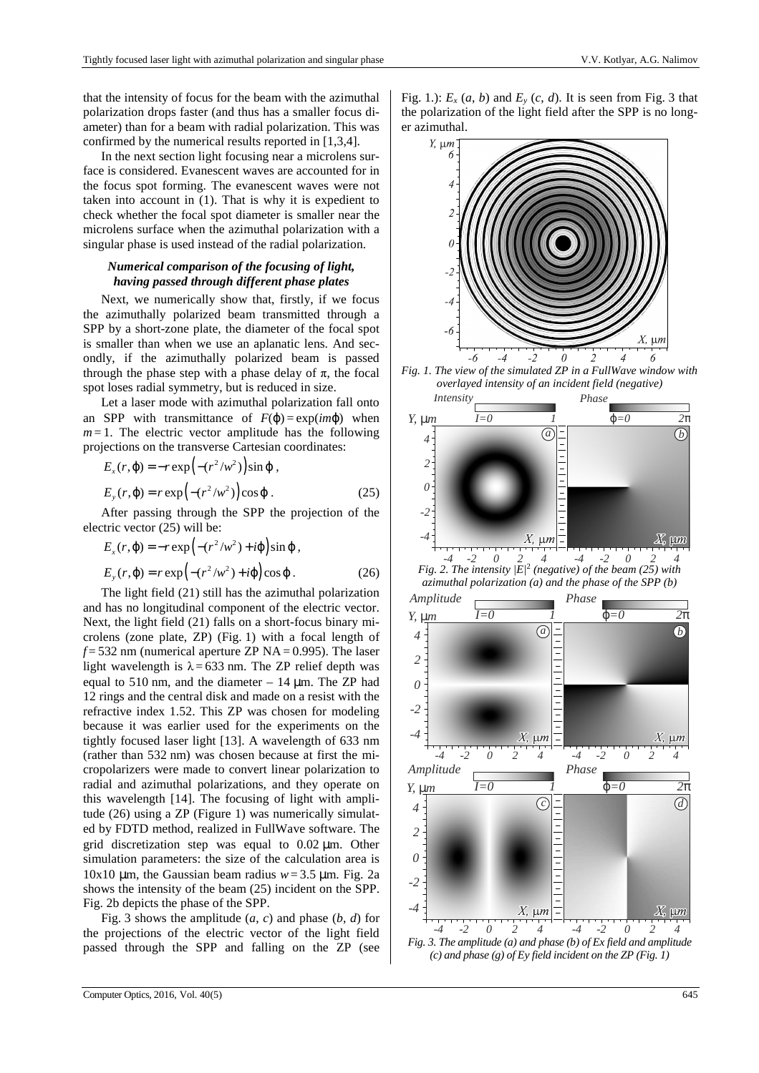that the intensity of focus for the beam with the azimuthal polarization drops faster (and thus has a smaller focus diameter) than for a beam with radial polarization. This was confirmed by the numerical results reported in [1,3,4].

In the next section light focusing near a microlens surface is considered. Evanescent waves are accounted for in the focus spot forming. The evanescent waves were not taken into account in (1). That is why it is expedient to check whether the focal spot diameter is smaller near the microlens surface when the azimuthal polarization with a singular phase is used instead of the radial polarization.

# *Numerical comparison of the focusing of light, having passed through different phase plates*

Next, we numerically show that, firstly, if we focus the azimuthally polarized beam transmitted through a SPP by a short-zone plate, the diameter of the focal spot is smaller than when we use an aplanatic lens. And secondly, if the azimuthally polarized beam is passed through the phase step with a phase delay of  $\pi$ , the focal spot loses radial symmetry, but is reduced in size.

Let a laser mode with azimuthal polarization fall onto an SPP with transmittance of  $F(\varphi) = \exp(im\varphi)$  when  $m=1$ . The electric vector amplitude has the following projections on the transverse Cartesian coordinates:

$$
E_x(r, \varphi) = -r \exp\left(-(r^2/w^2)\right) \sin \varphi,
$$
  
\n
$$
E_y(r, \varphi) = r \exp\left(-(r^2/w^2)\right) \cos \varphi.
$$
 (25)

After passing through the SPP the projection of the electric vector (25) will be:

$$
E_x(r, \varphi) = -r \exp\left(-(r^2/w^2) + i\varphi\right) \sin \varphi,
$$
  
\n
$$
E_y(r, \varphi) = r \exp\left(-(r^2/w^2) + i\varphi\right) \cos \varphi.
$$
 (26)

The light field (21) still has the azimuthal polarization and has no longitudinal component of the electric vector. Next, the light field (21) falls on a short-focus binary microlens (zone plate, ZP) (Fig. 1) with a focal length of  $f = 532$  nm (numerical aperture ZP NA = 0.995). The laser light wavelength is  $\lambda = 633$  nm. The ZP relief depth was equal to 510 nm, and the diameter  $-14 \mu m$ . The ZP had 12 rings and the central disk and made on a resist with the refractive index 1.52. This ZP was chosen for modeling because it was earlier used for the experiments on the tightly focused laser light [13]. A wavelength of 633 nm (rather than 532 nm) was chosen because at first the micropolarizers were made to convert linear polarization to radial and azimuthal polarizations, and they operate on this wavelength [14]. The focusing of light with amplitude (26) using a ZP (Figure 1) was numerically simulated by FDTD method, realized in FullWave software. The grid discretization step was equal to 0.02 µm. Other simulation parameters: the size of the calculation area is 10x10  $\mu$ m, the Gaussian beam radius  $w = 3.5 \mu$ m. Fig. 2a shows the intensity of the beam (25) incident on the SPP. Fig. 2b depicts the phase of the SPP.

Fig. 3 shows the amplitude  $(a, c)$  and phase  $(b, d)$  for the projections of the electric vector of the light field passed through the SPP and falling on the ZP (see Fig. 1.):  $E_x(a, b)$  and  $E_y(c, d)$ . It is seen from Fig. 3 that the polarization of the light field after the SPP is no longer azimuthal.



*Fig. 3. The amplitude (a) and phase (b) of Ex field and amplitude (c) and phase (g) of Ey field incident on the ZP (Fig. 1)*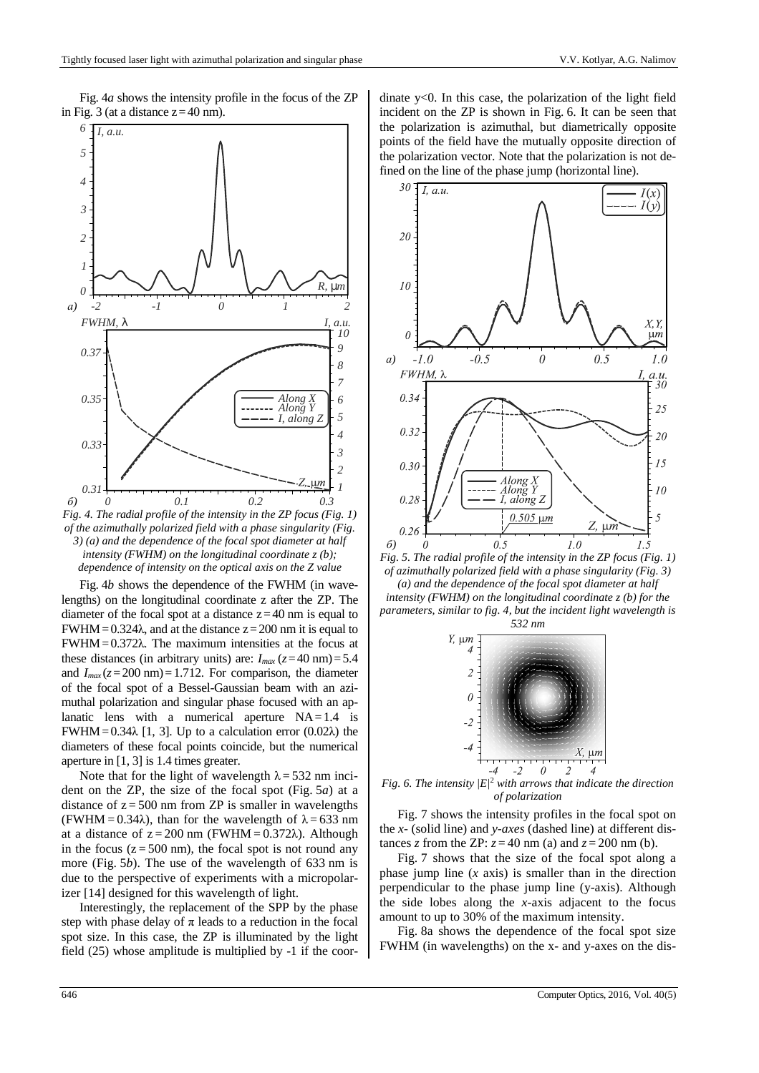Fig. 4*a* shows the intensity profile in the focus of the ZP in Fig. 3 (at a distance  $z=40$  nm).



*Fig. 4. The radial profile of the intensity in the ZP focus (Fig. 1) of the azimuthally polarized field with a phase singularity (Fig. 3) (a) and the dependence of the focal spot diameter at half intensity (FWHM) on the longitudinal coordinate z (b); dependence of intensity on the optical axis on the Z value* 

Fig. 4*b* shows the dependence of the FWHM (in wavelengths) on the longitudinal coordinate z after the ZP. The diameter of the focal spot at a distance  $z=40$  nm is equal to FWHM =  $0.324\lambda$ , and at the distance  $z=200$  nm it is equal to FWHM=0.372λ. The maximum intensities at the focus at these distances (in arbitrary units) are:  $I_{max}$  ( $z=40$  nm) = 5.4 and  $I_{max}(z=200 \text{ nm})=1.712$ . For comparison, the diameter of the focal spot of a Bessel-Gaussian beam with an azimuthal polarization and singular phase focused with an aplanatic lens with a numerical aperture  $NA = 1.4$  is FWHM=0.34 $\lambda$  [1, 3]. Up to a calculation error (0.02 $\lambda$ ) the diameters of these focal points coincide, but the numerical aperture in [1, 3] is 1.4 times greater.

Note that for the light of wavelength  $\lambda = 532$  nm incident on the ZP, the size of the focal spot (Fig. 5*a*) at a distance of  $z = 500$  nm from ZP is smaller in wavelengths (FWHM =  $0.34\lambda$ ), than for the wavelength of  $\lambda = 633$  nm at a distance of  $z = 200$  nm (FWHM = 0.372 $\lambda$ ). Although in the focus  $(z = 500 \text{ nm})$ , the focal spot is not round any more (Fig. 5*b*). The use of the wavelength of 633 nm is due to the perspective of experiments with a micropolarizer [14] designed for this wavelength of light.

Interestingly, the replacement of the SPP by the phase step with phase delay of  $\pi$  leads to a reduction in the focal spot size. In this case, the ZP is illuminated by the light field (25) whose amplitude is multiplied by -1 if the coordinate y<0. In this case, the polarization of the light field incident on the ZP is shown in Fig. 6. It can be seen that the polarization is azimuthal, but diametrically opposite points of the field have the mutually opposite direction of the polarization vector. Note that the polarization is not defined on the line of the phase jump (horizontal line).



*Fig. 5. The radial profile of the intensity in the ZP focus (Fig. 1) of azimuthally polarized field with a phase singularity (Fig. 3) (a) and the dependence of the focal spot diameter at half intensity (FWHM) on the longitudinal coordinate z (b) for the parameters, similar to fig. 4, but the incident light wavelength is* 



*Fig.* 6. The intensity  $|E|^2$  with arrows that indicate the direction *of polarization* 

Fig. 7 shows the intensity profiles in the focal spot on the *x-* (solid line) and *y-axes* (dashed line) at different distances *z* from the ZP:  $z = 40$  nm (a) and  $z = 200$  nm (b).

Fig. 7 shows that the size of the focal spot along a phase jump line (*x* axis) is smaller than in the direction perpendicular to the phase jump line (y-axis). Although the side lobes along the *x*-axis adjacent to the focus amount to up to 30% of the maximum intensity.

Fig. 8a shows the dependence of the focal spot size FWHM (in wavelengths) on the x- and y-axes on the dis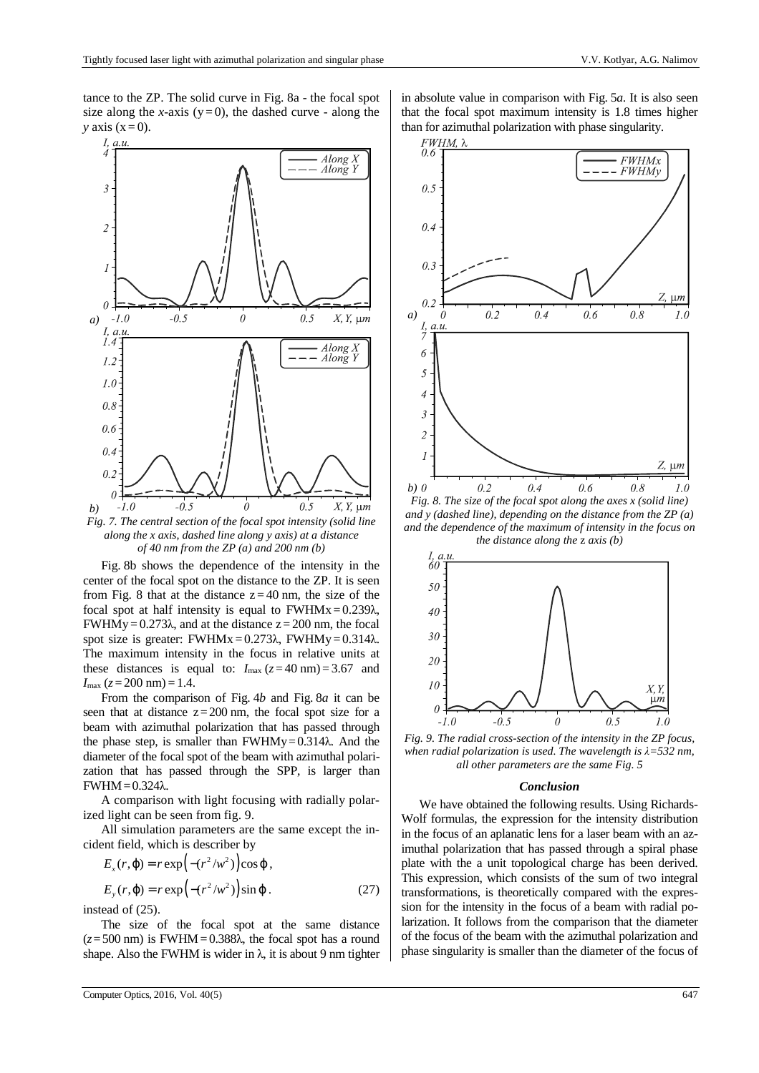tance to the ZP. The solid curve in Fig. 8a - the focal spot size along the *x*-axis ( $y=0$ ), the dashed curve - along the  $y$  axis  $(x=0)$ .



*Fig. 7. The central section of the focal spot intensity (solid line along the x axis, dashed line along y axis) at a distance of 40 nm from the ZP (a) and 200 nm (b)* 

Fig. 8b shows the dependence of the intensity in the center of the focal spot on the distance to the ZP. It is seen from Fig. 8 that at the distance  $z = 40$  nm, the size of the focal spot at half intensity is equal to  $FWHMx = 0.239\lambda$ , FWHMy =  $0.273\lambda$ , and at the distance  $z = 200$  nm, the focal spot size is greater: FWHMx =  $0.273\lambda$ , FWHMy =  $0.314\lambda$ . The maximum intensity in the focus in relative units at these distances is equal to:  $I_{\text{max}}$  ( $z=40$  nm) = 3.67 and  $I_{\text{max}}$  ( $z = 200$  nm) = 1.4.

From the comparison of Fig. 4*b* and Fig. 8*a* it can be seen that at distance  $z=200$  nm, the focal spot size for a beam with azimuthal polarization that has passed through the phase step, is smaller than  $FWHMy=0.314\lambda$ . And the diameter of the focal spot of the beam with azimuthal polarization that has passed through the SPP, is larger than FWHM=0.324λ.

A comparison with light focusing with radially polarized light can be seen from fig. 9.

All simulation parameters are the same except the incident field, which is describer by

$$
E_x(r,\varphi) = r \exp\left(-(r^2/w^2)\right) \cos \varphi,
$$

$$
E_y(r, \varphi) = r \exp\left(-(r^2/w^2)\right) \sin \varphi. \tag{27}
$$

instead of (25).

The size of the focal spot at the same distance  $(z=500 \text{ nm})$  is FWHM = 0.388 $\lambda$ , the focal spot has a round shape. Also the FWHM is wider in  $\lambda$ , it is about 9 nm tighter in absolute value in comparison with Fig. 5*a*. It is also seen that the focal spot maximum intensity is 1.8 times higher than for azimuthal polarization with phase singularity.



*Fig. 8. The size of the focal spot along the axes x (solid line) and y (dashed line), depending on the distance from the ZP (a) and the dependence of the maximum of intensity in the focus on the distance along the* z *axis (b)* 



*Fig. 9. The radial cross-section of the intensity in the ZP focus, when radial polarization is used. The wavelength is λ=532 nm, all other parameters are the same Fig. 5* 

### *Conclusion*

We have obtained the following results. Using Richards-Wolf formulas, the expression for the intensity distribution in the focus of an aplanatic lens for a laser beam with an azimuthal polarization that has passed through a spiral phase plate with the a unit topological charge has been derived. This expression, which consists of the sum of two integral transformations, is theoretically compared with the expression for the intensity in the focus of a beam with radial polarization. It follows from the comparison that the diameter of the focus of the beam with the azimuthal polarization and phase singularity is smaller than the diameter of the focus of